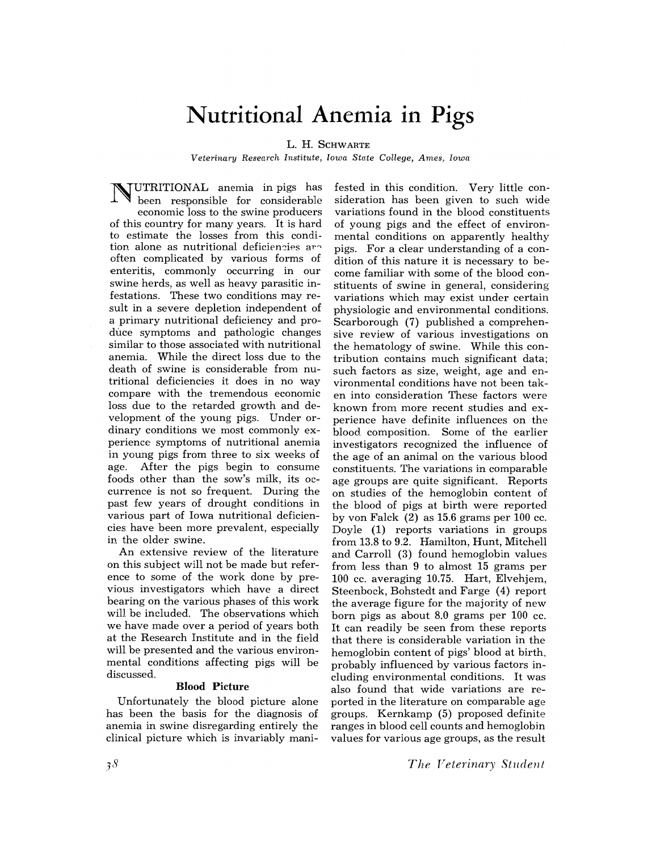# **Nutritional Anemia in Pigs**

L. H. SCHWARTE

*Veterinary Research Institute, Iowa State College, Ames, Iowa* 

NUTRITIONAL anemia in pigs has been responsible for considerable economic loss to the swine producers of this country for many years. It is hard to estimate the losses from this condition alone as nutritional deficiencies are often complicated by various forms of 'enteritis, commonly occurring in our swine herds, as well as heavy parasitic infestations. These two conditions may result in a severe depletion independent of a primary nutritional deficiency and produce symptoms and pathologic changes similar to those associated with nutritional anemia. While the direct loss due to the death of swine is considerable from nutritional deficiencies it does in no way compare with the tremendous economic loss due to the retarded growth and development of the young pigs. Under ordinary conditions we most commonly experience symptoms of nutritional anemia in young pigs from three to six weeks of age. After the pigs begin to consume foods other than the sow's milk, its occurrence is not so frequent. During the past few years of drought conditions in various part of Iowa nutritional deficiencies have been more prevalent, especially in the older swine.

An extensive review of the literature on this subject will not be made but reference to some of the work done by previous investigators which have a direct bearing on the various phases of this work will be included. The observations which we have made over a period of years both at the Research Institute and in the field will be presented and the various environmental conditions affecting pigs will be discussed.

#### **Blood** Picture

Unfortunately the blood picture alone has been the basis for the diagnosis of anemia in swine disregarding entirely the clinical picture which is invariably mani-

fested in this condition. Very little consideration has been given to such wide variations found in the blood constituents of young pigs and the effect of environmental conditions on apparently healthy pigs. For a clear understanding of a condition of this nature it is necessary to become familiar with some of the blood constituents of swine in general, considering variations which may exist under certain physiologic and environmental conditions. Scarborough (7) published a comprehensive review of various investigations on the hematology of swine. While this contribution contains much significant data; such factors as size, weight, age and environmental conditions have not been taken into consideration These factors were known from more recent studies and experience have definite influences on the blood. composition. Some of the earlier investigators recognized the influence of the age of an animal on the various blood constituents. The variations in comparable age groups are quite significant. Reports on studies of the hemoglobin content of the blood of pigs at birth were reported by von Falck (2) as 15.6 grams per 100 cc. Doyle (1) reports variations in groups from 13.8 to 9.2. Hamilton, Hunt, Mitchell and. Carroll (3) found hemoglobin values from. less than 9 to almost 15 grams per 100 cc. averaging 10.75. Hart, Elvehjem, Steenbock, Bohstedt and Farge (4) report the average figure for the majority of new born pigs as about 8.0 grams per 100 cc. lt can readily be seen from these reports that there is considerable variation in the hemoglobin content of pigs' blood at birth, probably influenced by various factors including environmental conditions. It was also found that wide variations are reported in the literature on comparable age groups. Kernkamp (5) proposed definite ranges in blood cell counts and hemoglobin values for various age groups, as the result

*The Veterinary Student*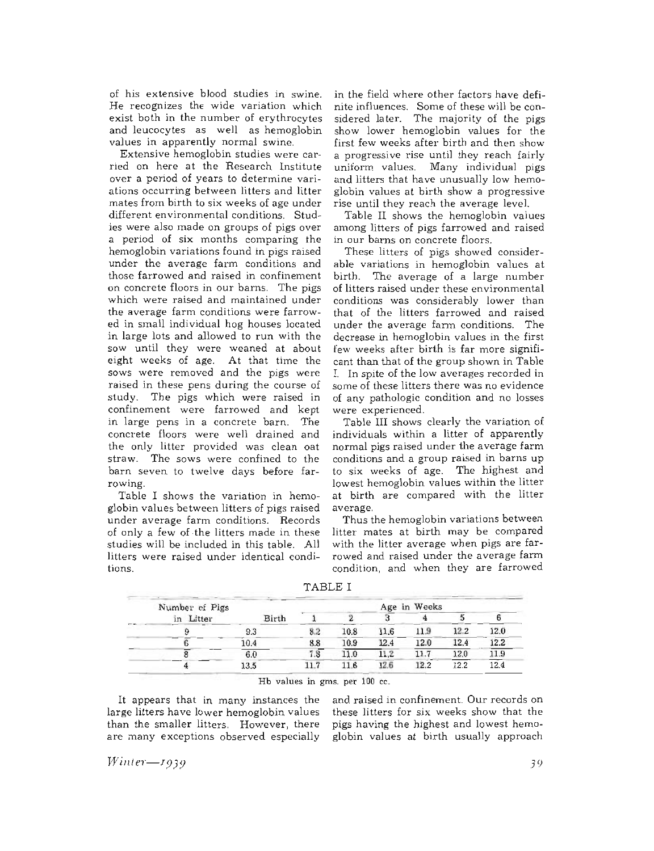of his extensive blood studies in swine. He recognizes the wide variation which exist both in the number of erythrocytes and leucocytes as well as hemoglobin values in apparently normal swine.

Extensive hemoglobin studies were carried on here at the Research Institute over a period of years to determine variations occurring between litters and litter mates from birth to six weeks of age under different environmental conditions. Studies were also made on groups of pigs over a period of six months comparing the hemoglobin variations found in pigs raised under the average farm conditions and those farrowed and raised in confinement on concrete floors in our barns. The pigs which were raised and maintained under the average farm conditions were farrowed in small individual hog houses located in large lots and allowed to run with the sow until they were weaned at about eight weeks of age. At that time the sows were removed and the pigs were raised in these pens during the course of study. The pigs which were raised in confinement were farrowed and kept in large pens in a concrete barn. The concrete floors were well drained and the only litter provided was clean oat straw. The sows were confined to the barn seven to twelve days before farrowing.

Table I shows the variation in hemoglobin values between litters of pigs raised under average farm conditions. Records of only a few of· the litters made in these studies will be included in this table. All litters were raised under identical conditions.

in the field where other factors have definite influences. Some of these will be considered later. The majority of the pigs show lower hemoglobin values for the first few weeks after birth and then show a progressive rise until they reach fairly uniform values. Many individual pigs and litters that have unusually low hemoglobin values at birth show a progressive rise until they reach the average level.

Table II shows the hemoglobin values among litters of pigs farrowed and raised in our barns on concrete floors.

These litters of pigs showed considerable variations in hemoglobin values at birth. The average of a large number of litters raised under these environmental conditions was considerably lower than that of the litters farrowed and raised under the average farm conditions. The decrease in hemoglobin values in the first few weeks after birth is far more significant than that of the group shown in Table 1. In spite of the low averages recorded in some of these litters there was no evidence of any pathologic condition and no losses were experienced.

Table III shows clearly the variation of individuals within a litter of apparently normal pigs raised under the average farm conditions and a group raised in barns up to six weeks of age. The highest and lowest hemoglobin values within the litter at birth are compared with the litter average.

Thus the hemoglobin variations between litter mates at birth may be compared with the litter average when pigs are farrowed and raised under the average farm condition, and when they are farrowed

and raised in confinement. Our records on these litters for six weeks show that the pigs having the highest and lowest hemo-

| TABLE I |     |      |      |      |      |              |  |  |
|---------|-----|------|------|------|------|--------------|--|--|
|         |     |      |      |      |      |              |  |  |
| Birth   |     |      |      |      |      |              |  |  |
| 9.3     | 8.2 | 10.8 | 11.6 | 11.9 | 12.2 | 12.0         |  |  |
| 10.4    | 8.8 | 10.9 | 12.4 | 12.0 | 12.4 | 12.2         |  |  |
| 6.0     | 7.8 | 11.0 | 11.2 | 11.7 | 12.0 | 11.9         |  |  |
| 13.5    | 117 | 11.6 | 12.6 | 12.2 | 12.2 | 12.4         |  |  |
|         |     |      |      |      |      | Age in Weeks |  |  |

Hb values in gms. per 100 ce.

It appears that in many instances the large litters have lower hemoglobin values than the smaller litters. However, there are many exceptions observed especially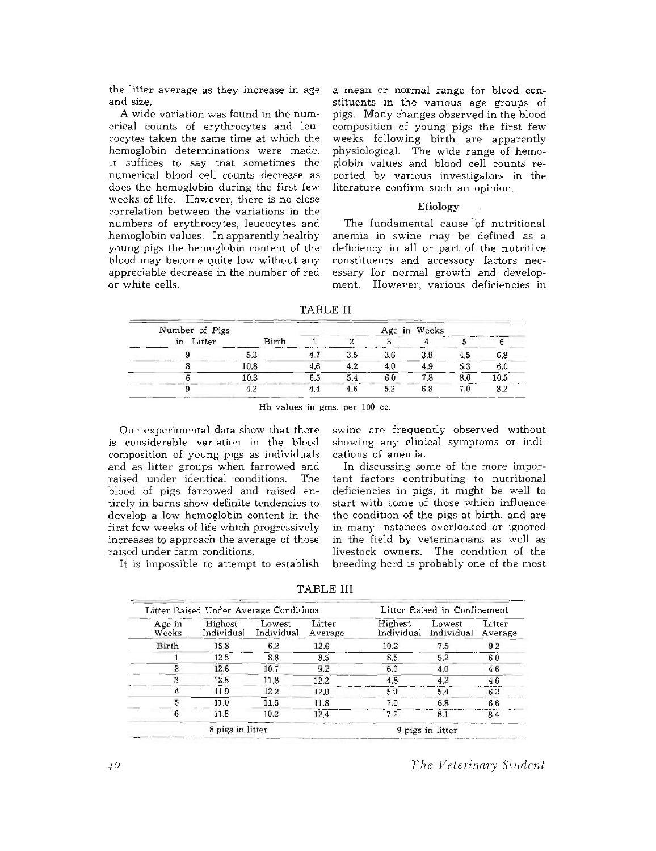the litter average as they increase in age and size.

A wide variation was found in the numerical counts of erythrocytes and leucocytes taken the same time at which the hemoglobin determinations were made. It suffices to say that sometimes the numerical blood cell counts decrease as does the hemoglobin during the first few weeks of life. However, there is no close correlation between the variations in the numbers of erythrocytes, leucocytes and hemoglobin values. In apparently healthy young pigs the hemoglobin content of the blood may become quite low without any appreciable decrease in the number of red or white cells.

a mean or normal range for blood constituents in the various age groups of pigs. Many changes observed in the blood composition of young pigs the first few weeks following birth are apparently physiological. The wide range of hemoglobin values and blood cell counts reported by various investigators in the literature confirm such an opinion.

#### **Etiology**

The fundamental cause 'of nutritional anemia in swine may be defined as a deficiency in all or part of the nutritive constituents and accessory factors necessary for normal growth and development. However, various deficiencies in

TABLE II

| Number of Pigs |       |     | Age in Weeks |     |
|----------------|-------|-----|--------------|-----|
| in Litter      | Birth |     |              |     |
|                |       | 3.5 | 3.8          | 6.8 |
|                | 10.8  |     | 4.9          |     |
|                | 10.3  |     |              |     |
|                |       |     |              |     |

Hb values in gms. per 100 cc.

Our experimental data show that there is considerable variation in the blood composition of young pigs as individuals and as litter groups when farrowed and<br>raised under identical conditions. The raised under identical conditions. blood of pigs farrowed and raised  $\epsilon$ ntirely in barns show definite tendencies to develop a low hemoglobin content in the first few weeks of life which progressively increases to approach the average of those raised under farm conditions.

It is impossible to attempt to establish

swine are frequently observed without showing any clinical symptoms or indications of anemia.

In discussing some of the more important factors contributing to nutritional deficiencies in. pigs, it might be well to start with *£orne* of those which influence the condition of the pigs at birth, and are in. many instances overlooked or ignored in the field by veterinarians as well as livestock owners. The condition of the breeding herd is probably one of the most

TABLE III

| Age in<br>Weeks  | Litter Raised Under Average Conditions<br>Highest<br>Individual | Lowest<br>Individual | Litter<br>Average | Highest<br>Individual | Lowest<br>Individual | Litter<br>Average |
|------------------|-----------------------------------------------------------------|----------------------|-------------------|-----------------------|----------------------|-------------------|
| Birth            | 15.8                                                            | 6.2                  | 12.6              | 10.2                  | 7.5                  | 9.2               |
|                  | 12.5                                                            | 8.8                  | 8.5               | 8.5                   | 5.2                  | 60                |
| 2                | 12.6                                                            | 10.7                 | 9.2               | 6.0                   | 4.0                  | 4.6               |
|                  | 12.8                                                            | 11.8                 | 12.2              | 4.8                   | 4.2                  | 4.6               |
| Ą.               | 11.9                                                            | 12.2                 | 12.0              | 5.9                   | 5.4                  | 6.2               |
| 5                | 11.0                                                            | 11.5                 | 11.8              | 7.0                   | 6.8                  | 6.6               |
| 6                | 11.8                                                            | 10.2                 | 12.4              | 7.2                   | 8.1                  | 8.4               |
| 8 pigs in litter |                                                                 |                      | 9 pigs in litter  |                       |                      |                   |

*The Veterinary Student*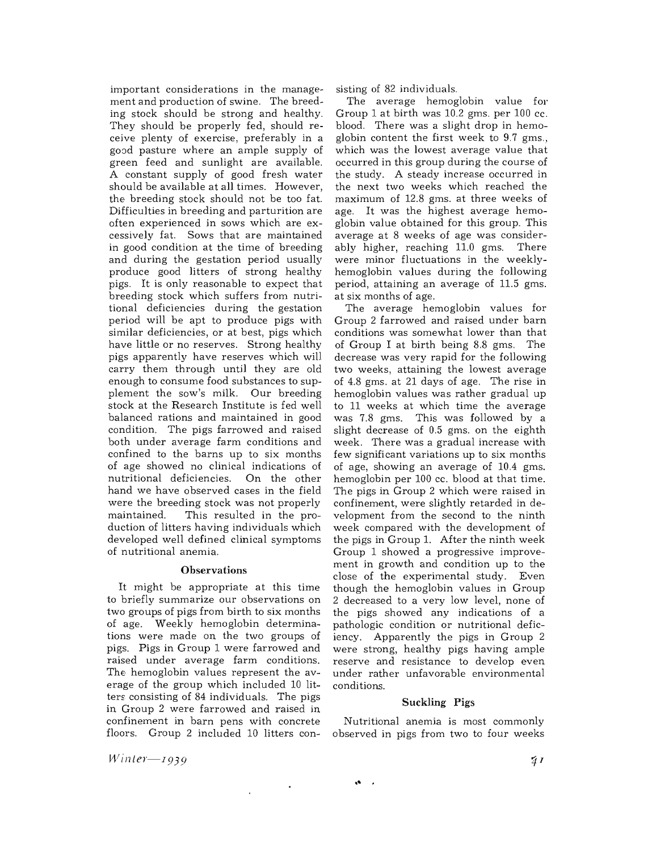important considerations in the management and production of swine. The breeding stock should be strong and healthy. They should be properly fed, should receive plenty of exercise, preferably in a good pasture where an ample supply of green feed and sunlight are available. A constant supply of good fresh water should be available at a1l times. However, the breeding stock should not be too fat. Difficulties in breeding and parturition are often experienced in sows which are excessively fat. Sows that are maintained in good condition at the time of breeding and during the gestation period usually produce good litters of strong healthy pigs. It is only reasonable to expect that breeding stock which suffers from nutritional deficiencies during the gestation period will be apt to produce pigs with similar deficiencies, or at best, pigs which have little or no reserves. Strong healthy pigs apparently have reserves which will carry them through until they are old enough to consume food substances to supplement the sow's milk. Our breeding stock at the Research Institute is fed well balanced rations and maintained in good condition. The pigs farrowed and raised both under average farm conditions and confined to the barns up to six months of age showed no clinical indications of nutritional deficiencies. On the other hand we have observed cases in the field were the breeding stock was not properly<br>maintained. This resulted in the pro-This resulted in the production of litters having individuals which developed well defined clinical symptoms of nutritional anemia.

#### **Observations**

It might be appropriate at this time to briefly summarize our observations on two groups of pigs from birth to six months of age. Weekly hemoglobin determinations were made on the two groups of pigs. Pigs in Group 1 were farrowed and raised under average farm conditions. The hemoglobin values represent the average of the group which included 10 litters consisting of 84 individuals. The pigs in Group 2 were farrowed and raised in confinement in barn pens with concrete floors. Group 2 included 10 litters consisting of 82 individuals.

The average hemoglobin value for Group 1 at birth was 10.2 gms. per 100 cc. blood. There was a slight drop in hemoglobin content the first week to 9.7 gms., which was the lowest average value that occurred in this group during the course of the study. A steady increase occurred in the next two weeks which reached the maximum of 12.8 gms. at three weeks of age. It was the highest average hemoglobin value obtained for this group. This average at 8 weeks of age was considerably higher, reaching 11.0 gms. There were minor fluctuations in the weeklyhemoglobin values during the following period, attaining an average of 11.5 gms. at six months of age.

The average hemoglobin values for Group 2 farrowed and raised under barn conditions was somewhat lower than that of Group I at birth being 8.8 gms. The decrease was very rapid for the following two weeks, attaining the lowest average of 4.8 gms. at 21 days of age. The rise in hemoglobin values was rather gradual up to 11 weeks at which time the average was 7.8 gms. This was followed by a slight decrease of 0.5 gms. on the eighth week. There was a gradual increase with few significant variations up to six months of age, showing an average of 10.4 gms. hemoglobin per 100 cc. blood at that time. The pigs in Group 2 which were raised in confinement, were slightly retarded in development from the second to the ninth week compared with the development of the pigs in Group 1. After the ninth week Group 1 showed a progressive improvement in growth and condition up to the close of the experimental study. Even though the hemoglobin values in Group 2 decreased to a very low level, none of the pigs showed any indications of a pathologic condition or nutritional deficiency. Apparently the pigs in Group 2 were strong, healthy pigs having ample reserve and resistance to develop even under rather unfavorable environmental conditions.

#### **Suckling Pigs**

Nutritional anemia is most commonly observed in pigs from two to four weeks

**.' .** 

 $\sim$   $\star$ 

*Winter-1939*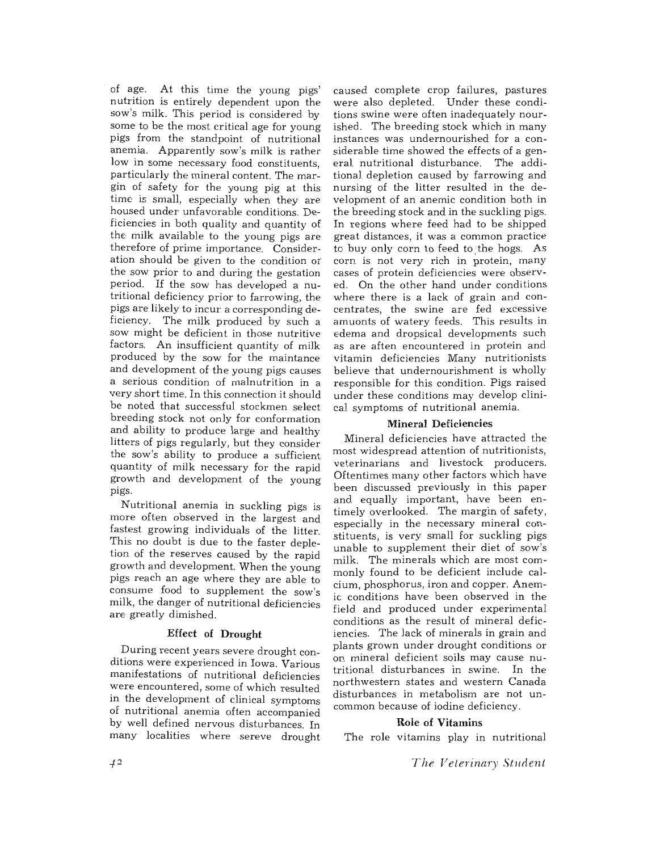of age. At this time the young pigs' nutrition is entirely dependent upon the sow's milk. This period is considered by some to be the most critical age for young pigs from the standpoint of nutritional anemia. Apparently sow's milk is rather low in some necessary food constituents, particularly the mineral content. The margin of safety for the young pig at this time is small, especially when they are housed under unfavorable conditions. Deficiencies in both quality and quantity of the milk available to the young pigs are therefore of prime importance. Consideration should be given to the condition or the sow prior to and during the gestation period. If the sow has developed a nutritional deficiency prior to farrowing, the pigs are likely to incur a corresponding deficiency. The milk produced by such a sow might be deficient in those nutritive factors. An insufficient quantity of milk produced by the sow for the maintance and development of the young pigs causes a serious condition of malnutrition in a very short time. In this connection it should be noted that successful stockmen select breeding stock not only for conformation and ability to produce large and healthy litters of pigs regularly, but they consider the sow's ability to produce a sufficient quantity of milk necessary for the rapid growth and development of the young pigs.

Nutritional anemia in suckling pigs is more often observed in the largest and fastest growing individuals of the litter. This no doubt is due to the faster depletion of the reserves caused by the rapid growth and development. When the young pigs reach an age where they are able to consume food to supplement the sow's milk, the danger of nutritional deficiencies are greatly dimished.

#### Effect of Drought

During recent years severe drought conditions were experienced in Iowa. Various manifestations of nutritional deficiencies were encountered, some of which resulted in the development of clinical symptoms of nutritional anemia often accompanied by well defined nervous disturbances. In many localities where sereve drought caused complete crop failures, pastures were also depleted. Under these conditions swine were often inadequately nourished. The breeding stock which in many instances was undernourished for a considerable time showed the effects of a general. nutritional disturbance. The additional depletion caused by farrowing and nursing of the litter resulted in the development of an anemic condition both in the breeding stock and in the suckling pigs. In regions where feed had to be shipped great distances, it was a common practice to buy only corn to feed to the hogs. As corn is not very rich in protein, many cases of protein deficiencies were observed. On the other hand under conditions where there is a lack of grain and concentrates, the swine are fed excessive amuonts of watery feeds. This results in edema and dropsical developments such as are aften encountered in protein and vitamin deficiencies Many nutritionists believe that undernourishment is wholly responsible for this condition. Pigs raised under these conditions may develop clinical. symptoms of nutritional anemia.

#### Mineral Deficiencies

Mineral deficiencies have attracted the most widespread attention of nutritionists, veterinarians and livestock producers. Oftentimes many other factors which have been discussed previously in this paper and. equally important, have been entimely overlooked. The margin of safety, especially in the necessary mineral constituents, is very small for suckling pigs unable to supplement their diet of sow's milk. The minerals which are most commonly found to be deficient include calcium, phosphorus, iron and copper. Anemic conditions have been observed in the field and produced under experimental conditions as the result of mineral deficiencies. The lack of minerals in grain and plants grown under drought conditions or OE mineral deficient soils may cause nutritional. disturbances in swine. In the northwestern states and western Canada disturbances in metabolism are not uncommon because of iodine deficiency.

#### Role of Vitamins

The role vitamins play in nutritional

*T he Veterinary Student*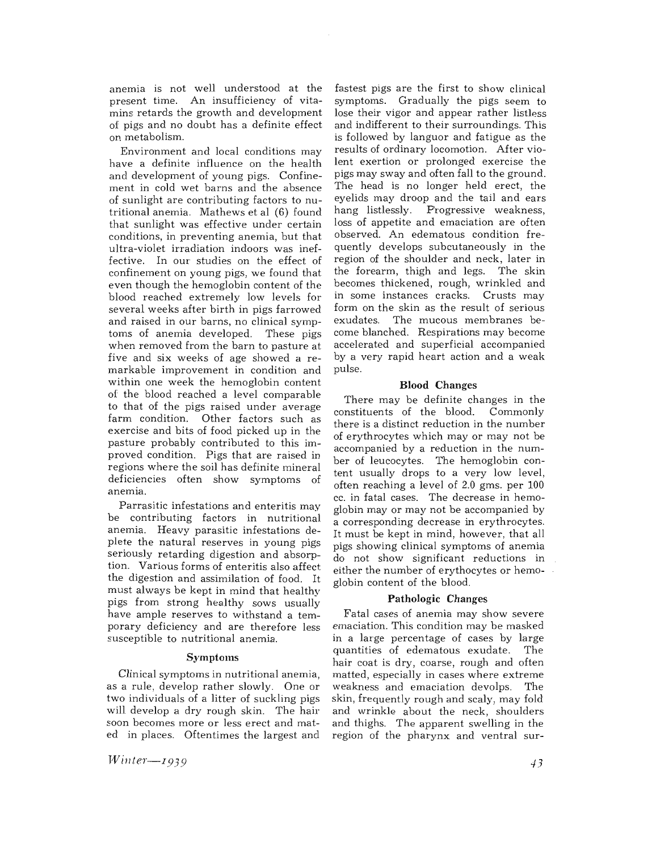anemia is not well understood at the present time. An insufficiency of vitamins retards the growth and development of pigs and no doubt has a definite effect on metabolism.

Environment and local conditions may have a definite influence on the health and development of young pigs. Confinement in cold wet barns and the absence of sunlight are contributing factors to nutritional anemia. Mathews et al (6) found that sunlight was effective under certain conditions, in preventing anemia, but that ultra-violet irradiation indoors was ineffective. In our studies on the effect of confinement on young pigs, we found that even though the hemoglobin content of the blood reached extremely low levels for several. weeks after birth in pigs farrowed and raised in our barns, no clinical symptoms of anemia developed. These pigs when removed from the barn to pasture at five and six weeks of age showed a remarkable improvement in condition and within one week the hemoglobin content of the blood reached a level comparable to that of the pigs raised under average farm condition. Other factors such as exercise and bits of food picked up in the pasture probably contributed to this improved condition. Pigs that are raised in regions where the soil has definite mineral<br>deficiencies often show symptoms of deficiencies often show symptoms anemia.

Parrasitic infestations and enteritis may be contributing factors in nutritional anemia. Heavy parasitic infestations deplete the natural reserves in young pigs seriously retarding digestion and absorption. Various forms of enteritis also affect the digestion and assimilation of food. It must always be kept in mind that healthy pigs from strong healthy sows usually have ample reserves to withstand a temporary deficiency and are therefore less susceptible to nutritional anemia.

#### Symptoms

Clinical symptoms in nutritional anemia, as a rule, develop rather slowly. One or two individuals of a litter of suckling pigs will develop a dry rough skin. The hair soon becomes more or less erect and mated in places. Oftentimes the largest and

*Winter-*<sup>I</sup> *939* 

fastest pigs are the first to show clinical symptoms. Gradually the pigs seem to lose their vigor and appear rather listless and indifferent to their surroundings. This is followed by languor and fatigue as the results of ordinary locomotion. After violent exertion or prolonged exercise the pigs may sway and often fall to the ground. The head is no longer held erect, the eyelids may droop and the tail and ears hang listlessly. Progressive weakness, loss of appetite and emaciation are often observed. An edematous condition frequently develops subcutaneously in the region of the shoulder and neck, later in the forearm, thigh and legs. The skin becomes thickened, rough, wrinkled and in some instances cracks. Crusts may form on the skin as the result of serious The mucous membranes become blanched. Respirations may become accelerated and superficial accompanied by a very rapid heart action and a weak pulse.

#### **Blood** Changes

There may be definite changes in the<br>instituents of the blood. Commonly constituents of the blood. there is a distinct reduction in the number of erythrocytes which mayor may not be accompanied by a reduction in the number of leucocytes. The hemoglobin content usually drops to a very low level, often reaching a level of 2.0 gms. per 100 cc. in fatal cases. The decrease in hemoglobin mayor may not be accompanied by a corresponding decrease in erythrocytes. It must be kept in mind, however, that all pigs showing clinical symptoms of anemia do not show significant reductions in either the number of erythocytes or hemoglobin content of the blood.

#### **Pathologic** Changes

Fatal cases of anemia may show severe emaciation. This condition may be masked in a large percentage of cases by large quantities of edematous exudate. The hair coat is dry, coarse, rough and often matted, especially in cases where extreme weakness and emaciation devolps. The skin, frequently rough and scaly, may fold and wrinkle about the neck, shoulders and thighs. The apparent swelling in the region of the pharynx and ventral sur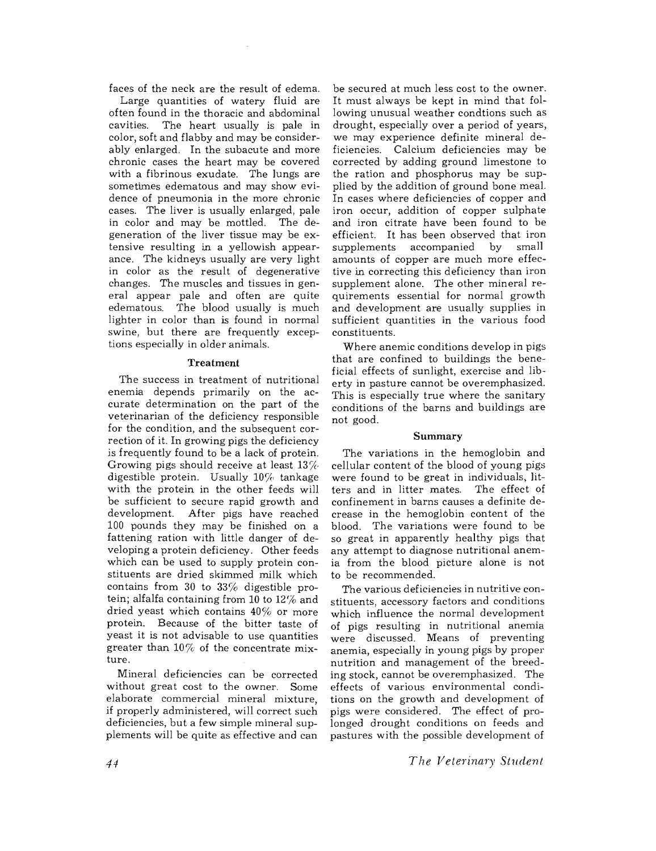faces of the neck are the result of edema.

Large quantities of watery fluid are often found in the thoracic and abdominal cavities. The heart usually is pale in color, soft and flabby and may be considerably enlarged. In the subacute and more chronic cases the heart may be covered with a fibrinous exudate. The lungs are sometimes edematous and may show evidence of pneumonia in the more chronic cases. The liver is usually enlarged, pale in color and may be mottled. The degeneration of the liver tissue may be extensive resulting in a yellowish appearance. The kidneys usually are very light in color as the result of degenerative changes. The muscles and tissues in general appear pale and often are quite edematous. The blood usually is much lighter in color than is found in normal swine, but there are frequently exceptions especially in older animals.

#### **Treatment**

The success in treatment of nutritional enemia depends primarily on the accurate determination on the part of the veterinarian of the deficiency responsible for the condition, and the subsequent correction of it. In growing pigs the deficiency is frequently found to be a lack of protein. Growing pigs should receive at least  $13\%$ digestible protein. Usually 10% tankage with the protein in the other feeds will be sufficient to secure rapid growth and development. After pigs have reached 100 pounds they may be finished on a fattening ration with little danger of developing a protein deficiency. Other feeds which can be used to supply protein constituents are dried skimmed milk which contains from 30 to 33% digestible protein; alfalfa containing from **10** to 12% and dried yeast which contains  $40\%$  or more protein. Because of the bitter taste of yeast it is not advisable to use quantities greater than  $10\%$  of the concentrate mixture.

Mineral deficiencies can be corrected without great cost to the owner. Some elaborate commercial mineral mixture, if properly administered, will correct such deficiencies, but a few simple mineral supplements will be quite as effective and can

be secured at much less cost to the owner. It must always be kept in mind that following unusual weather condtions such as drought, especially over a period of years, we may experience definite mineral deficiencies. Calcium deficiencies may be corrected by adding ground limestone to the ration and phosphorus may be supplied by the addition of ground bone meal. In cases where deficiencies of copper and iron occur, addition of copper sulphate and iron citrate have been found to be efficient. It has been observed that iron<br>supplements accompanied by small supplements accompanied amounts of copper are much more effective in correcting this deficiency than iron supplement alone. The other mineral requirements essential for normal growth and development are usually supplies in sufficient quantities in the various food constituents.

Where anemic conditions develop in pigs that are confined to buildings the beneficial effects of sunlight, exercise and liberty in pasture cannot be overemphasized. This is especially true where the sanitary conditions of the barns and buildings are not good.

#### **Summary**

The variations in the hemoglobin and cellular content of the blood of young pigs were found to be great in individuals, litters and in litter mates. The effect of confinement in barns causes a definite decrease in the hemoglobin content of the blood. The variations were found to be so great in apparently healthy pigs that any attempt to diagnose nutritional anemia from the blood picture alone is not to be recommended.

The various deficiencies in nutritive constituents, accessory factors and conditions which influence the normal development of pigs resulting in nutritional anemia were discussed. Means of preventing anemia, especially in young pigs by proper nutrition and management of the breeding stock, cannot be overemphasized. The effects of various environmental conditions on the growth and development of pigs were considered. The effect of prolonged drought conditions on feeds and pastures with the possible development of

*The Veterinary Student*